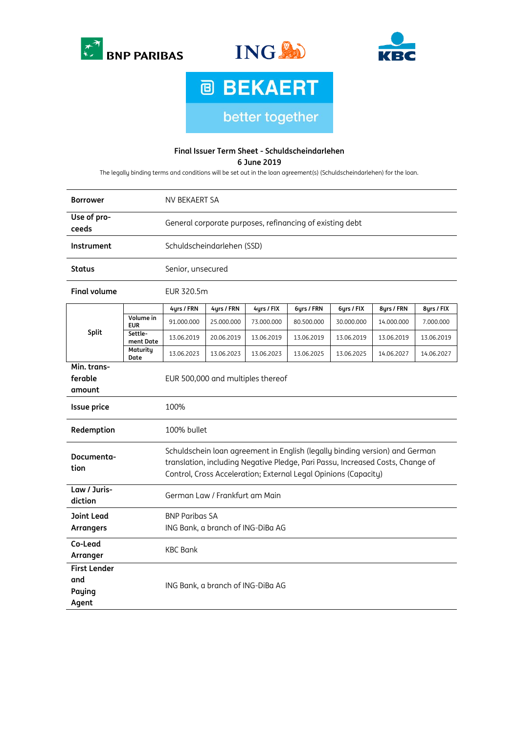





**@ BEKAERT** better together

## **Final Issuer Term Sheet - Schuldscheindarlehen**

**6 June 2019**

The legally binding terms and conditions will be set out in the loan agreement(s) (Schuldscheindarlehen) for the loan.

| <b>Borrower</b>                               |                         | NV BEKAERT SA                                                                                                                                                                                                                    |            |            |            |            |            |            |
|-----------------------------------------------|-------------------------|----------------------------------------------------------------------------------------------------------------------------------------------------------------------------------------------------------------------------------|------------|------------|------------|------------|------------|------------|
| Use of pro-<br>ceeds                          |                         | General corporate purposes, refinancing of existing debt                                                                                                                                                                         |            |            |            |            |            |            |
| Instrument                                    |                         | Schuldscheindarlehen (SSD)                                                                                                                                                                                                       |            |            |            |            |            |            |
| <b>Status</b>                                 |                         | Senior, unsecured                                                                                                                                                                                                                |            |            |            |            |            |            |
| <b>Final volume</b>                           |                         | EUR 320.5m                                                                                                                                                                                                                       |            |            |            |            |            |            |
| Split                                         |                         | 4yrs / FRN                                                                                                                                                                                                                       | 4yrs / FRN | 4yrs / FIX | 6yrs / FRN | 6yrs / FIX | 8yrs / FRN | 8yrs / FIX |
|                                               | Volume in<br><b>EUR</b> | 91.000.000                                                                                                                                                                                                                       | 25.000.000 | 73.000.000 | 80.500.000 | 30.000.000 | 14.000.000 | 7.000.000  |
|                                               | Settle-<br>ment Date    | 13.06.2019                                                                                                                                                                                                                       | 20.06.2019 | 13.06.2019 | 13.06.2019 | 13.06.2019 | 13.06.2019 | 13.06.2019 |
|                                               | Maturity<br>Date        | 13.06.2023                                                                                                                                                                                                                       | 13.06.2023 | 13.06.2023 | 13.06.2025 | 13.06.2025 | 14.06.2027 | 14.06.2027 |
| Min. trans-<br>ferable<br>amount              |                         | EUR 500,000 and multiples thereof                                                                                                                                                                                                |            |            |            |            |            |            |
| <b>Issue price</b>                            |                         | 100%                                                                                                                                                                                                                             |            |            |            |            |            |            |
| Redemption                                    |                         | 100% bullet                                                                                                                                                                                                                      |            |            |            |            |            |            |
| Documenta-<br>tion                            |                         | Schuldschein loan agreement in English (legally binding version) and German<br>translation, including Negative Pledge, Pari Passu, Increased Costs, Change of<br>Control, Cross Acceleration; External Legal Opinions (Capacity) |            |            |            |            |            |            |
| Law / Juris-<br>diction                       |                         | German Law / Frankfurt am Main                                                                                                                                                                                                   |            |            |            |            |            |            |
| <b>Joint Lead</b><br><b>Arrangers</b>         |                         | <b>BNP Paribas SA</b><br>ING Bank, a branch of ING-DiBa AG                                                                                                                                                                       |            |            |            |            |            |            |
| Co-Lead<br>Arranger                           |                         | <b>KBC Bank</b>                                                                                                                                                                                                                  |            |            |            |            |            |            |
| <b>First Lender</b><br>and<br>Paying<br>Agent |                         | ING Bank, a branch of ING-DiBa AG                                                                                                                                                                                                |            |            |            |            |            |            |